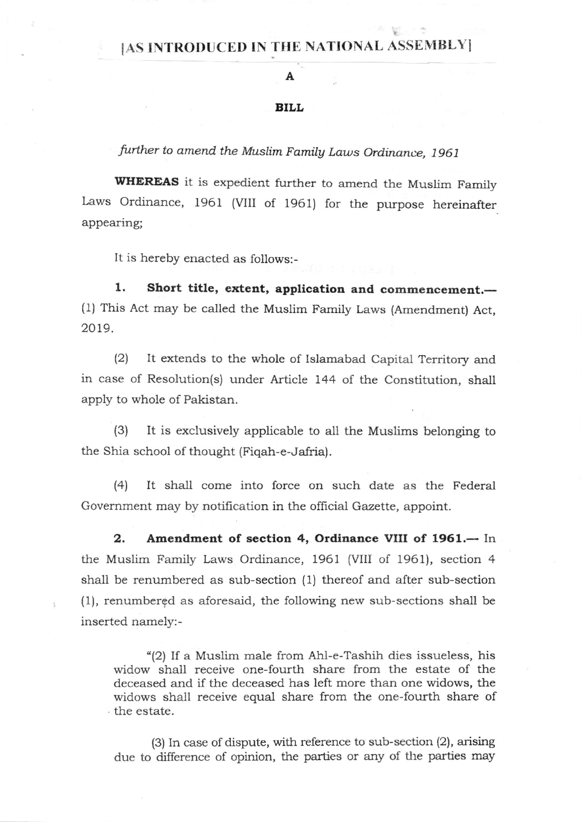## [AS INTRODUCED IN THE NATIONAL ASSEMBLY]

## A

## BILL

further to amend the Muslim Family Laws Ordinance, 1961

WHEREAS it is expedient further to amend the Muslim Family Laws Ordinance, 1961 (VIII of 1961) for the purpose hereinafter appearing;

It is hereby enacted as follows:-

1. Short title, extent, application and commencement.-(1) This Act may be called the Muslim Family Laws (Amendment) Act, 2019.

(2) It extends to the whole of Islamabad Capital Territory and in case of Resolution(s) under Article 144 of the Constitution, shall apply to whole of Pakistan.

(3) It is exclusively applicable to all the Muslims belonging to the Shia school of thought (Fiqah-e-Jafria).

(41 It shall come into force on such date as the Federal Government may by notification in the official Gazette, appoint.

2. Amendment of section 4, Ordinance VIII of 1961.-- In the Muslim Family Laws Ordinance, 1961 (VIII of 1961), section 4 sha1l be renumbered as sub-section (1) thereof and after sub-section (1), renumbergd as aforesaid, the following new sub-sections shall be inserted namely:-

"(2) If a Muslim male from Ahl-e-Tashih dies issueless, his widow shall receive one-fourth share from the estate of the deceased and if the deceased has left more than one widows, the widows shall receive equal share from the one-fourth share of the estate.

(3) In case of dispute, with reference to sub-section (2), arising due to difference of opinion, the parties or any of the parties may